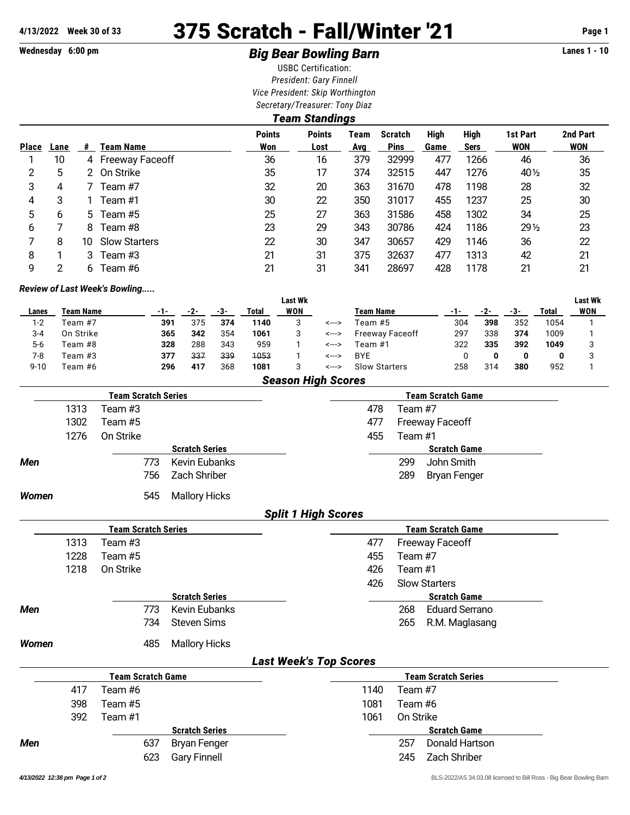# **4/13/2022 Week 30 of 33** 375 Scratch - Fall/Winter '21 **Page 1**

## Wednesday 6:00 pm *Big Bear Bowling Barn* **Lanes 1 - 10**

USBC Certification: *President: Gary Finnell Vice President: Skip Worthington Secretary/Treasurer: Tony Diaz*

|              | Team Standings |     |                      |                      |                       |             |                               |              |                            |                        |                        |  |  |
|--------------|----------------|-----|----------------------|----------------------|-----------------------|-------------|-------------------------------|--------------|----------------------------|------------------------|------------------------|--|--|
| <b>Place</b> | Lane           | #   | Team Name            | <b>Points</b><br>Won | <b>Points</b><br>Lost | Team<br>Avg | <b>Scratch</b><br><b>Pins</b> | High<br>Game | <b>High</b><br><b>Sers</b> | 1st Part<br><b>WON</b> | 2nd Part<br><b>WON</b> |  |  |
|              | 10             |     | 4 Freeway Faceoff    | 36                   | 16                    | 379         | 32999                         | 477          | 1266                       | 46                     | 36                     |  |  |
| 2            | 5              | 2   | On Strike            | 35                   | 17                    | 374         | 32515                         | 447          | 1276                       | 40 1/2                 | 35                     |  |  |
| 3            | 4              |     | Team #7              | 32                   | 20                    | 363         | 31670                         | 478          | 1198                       | 28                     | 32                     |  |  |
| 4            | 3              |     | Team #1              | 30                   | 22                    | 350         | 31017                         | 455          | 1237                       | 25                     | 30                     |  |  |
| 5            | 6              | 5.  | Team #5              | 25                   | 27                    | 363         | 31586                         | 458          | 1302                       | 34                     | 25                     |  |  |
| 6            |                | 8   | Team #8              | 23                   | 29                    | 343         | 30786                         | 424          | 1186                       | $29\frac{1}{2}$        | 23                     |  |  |
|              | 8              | 10. | <b>Slow Starters</b> | 22                   | 30                    | 347         | 30657                         | 429          | 1146                       | 36                     | 22                     |  |  |
| 8            |                | 3   | Team #3              | 21                   | 31                    | 375         | 32637                         | 477          | 1313                       | 42                     | 21                     |  |  |
| 9            | 2              | 6   | Team #6              | 21                   | 31                    | 341         | 28697                         | 428          | 1178                       | 21                     | 21                     |  |  |

#### *Review of Last Week's Bowling.....*

|          |                           |     |     |     |       | <b>Last Wk</b> |       |                        |     |     |     |       | <b>Last Wk</b> |
|----------|---------------------------|-----|-----|-----|-------|----------------|-------|------------------------|-----|-----|-----|-------|----------------|
| Lanes    | <b>Team Name</b>          | -1- |     | -3- | Total | <b>WON</b>     |       | <b>Team Name</b>       | -1- |     | -3- | Total | WON            |
| $1 - 2$  | Team #7                   | 391 | 375 | 374 | 1140  | 3              | <---> | Team #5                | 304 | 398 | 352 | 1054  |                |
| 3-4      | On Strike                 | 365 | 342 | 354 | 1061  | 3              | <---> | <b>Freeway Faceoff</b> | 297 | 338 | 374 | 1009  |                |
| $5-6$    | Team #8                   | 328 | 288 | 343 | 959   |                | <---> | Team #1                | 322 | 335 | 392 | 1049  |                |
| 7-8      | Team #3                   | 377 | 337 | 339 | 1053  |                | <---> | <b>BYE</b>             |     |     | 0   | 0     |                |
| $9 - 10$ | Team #6                   | 296 | 417 | 368 | 1081  | 3              | <---> | <b>Slow Starters</b>   | 258 | 314 | 380 | 952   |                |
|          | <b>Season High Scores</b> |     |     |     |       |                |       |                        |     |     |     |       |                |

|       |      | <b>Team Scratch Series</b> |                       |                               | <b>Team Scratch Game</b>   |
|-------|------|----------------------------|-----------------------|-------------------------------|----------------------------|
|       | 1313 | Team #3                    |                       | 478                           | Team #7                    |
|       | 1302 | Team #5                    |                       | 477                           | <b>Freeway Faceoff</b>     |
|       | 1276 | On Strike                  |                       | 455                           | Team #1                    |
|       |      |                            | <b>Scratch Series</b> |                               | <b>Scratch Game</b>        |
| Men   |      | 773                        | <b>Kevin Eubanks</b>  | 299                           | John Smith                 |
|       |      | 756                        | Zach Shriber          | 289                           | <b>Bryan Fenger</b>        |
| Women |      | 545                        | <b>Mallory Hicks</b>  |                               |                            |
|       |      |                            |                       | <b>Split 1 High Scores</b>    |                            |
|       |      | <b>Team Scratch Series</b> |                       |                               | <b>Team Scratch Game</b>   |
|       | 1313 | Team #3                    |                       | 477                           | <b>Freeway Faceoff</b>     |
|       | 1228 | Team #5                    |                       | 455                           | Team #7                    |
|       | 1218 | On Strike                  |                       | 426                           | Team #1                    |
|       |      |                            |                       | 426                           | <b>Slow Starters</b>       |
|       |      |                            | <b>Scratch Series</b> |                               | <b>Scratch Game</b>        |
| Men   |      | 773                        | <b>Kevin Eubanks</b>  | 268                           | <b>Eduard Serrano</b>      |
|       |      | 734                        | <b>Steven Sims</b>    | 265                           | R.M. Maglasang             |
| Women |      | 485                        | <b>Mallory Hicks</b>  |                               |                            |
|       |      |                            |                       | <b>Last Week's Top Scores</b> |                            |
|       |      | <b>Team Scratch Game</b>   |                       |                               | <b>Team Scratch Series</b> |
|       | 417  | Team #6                    |                       | 1140                          | Team #7                    |
|       | 398  | Team #5                    |                       | 1081                          | Team #6                    |
|       | 392  | Team #1                    |                       | 1061                          | On Strike                  |
|       |      |                            | <b>Scratch Series</b> |                               | <b>Scratch Game</b>        |
| Men   |      | 637                        | <b>Bryan Fenger</b>   | 257                           | Donald Hartson             |
|       |      | 623                        | <b>Gary Finnell</b>   | 245                           | Zach Shriber               |